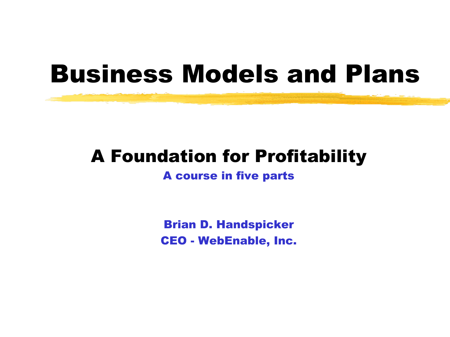## Business Models and Plans

#### A Foundation for Profitability

#### A course in five parts

Brian D. Handspicker CEO - WebEnable, Inc.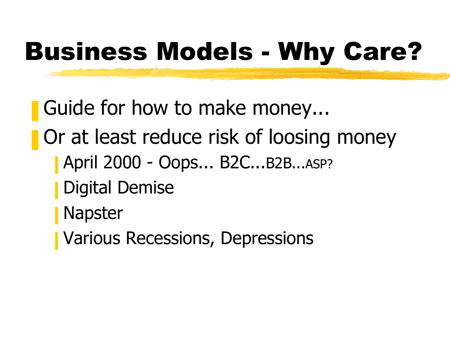# Business Models - Why Care?

- Guide for how to make money...
- Or at least reduce risk of loosing money
	- April 2000 Oops... B2C...B2B...ASP?
	- Digital Demise
	- **Napster**
	- **Various Recessions, Depressions**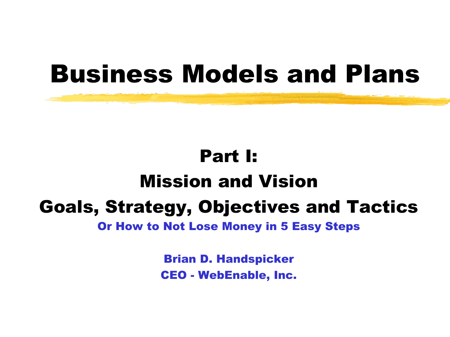## Business Models and Plans

## Part I: Mission and Vision Goals, Strategy, Objectives and Tactics

Or How to Not Lose Money in 5 Easy Steps

Brian D. Handspicker CEO - WebEnable, Inc.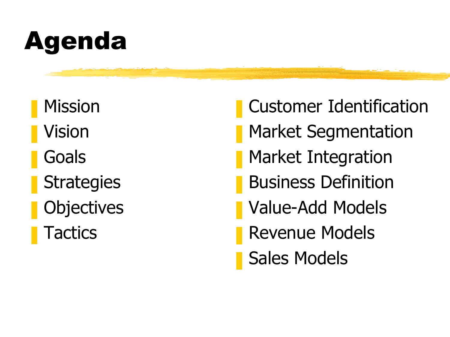# Agenda

- **Mission**
- **Vision**
- **Goals**
- **Strategies**
- **Objectives**
- **Tactics**
- ❚ Customer Identification
- **Market Segmentation**
- Market Integration
- **Business Definition**
- Value-Add Models
- Revenue Models
- Sales Models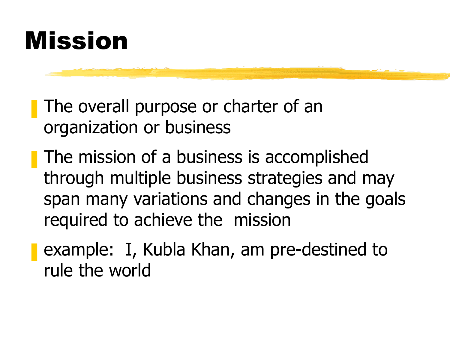

■ The overall purpose or charter of an organization or business

■ The mission of a business is accomplished through multiple business strategies and may span many variations and changes in the goals required to achieve the mission

■ example: I, Kubla Khan, am pre-destined to rule the world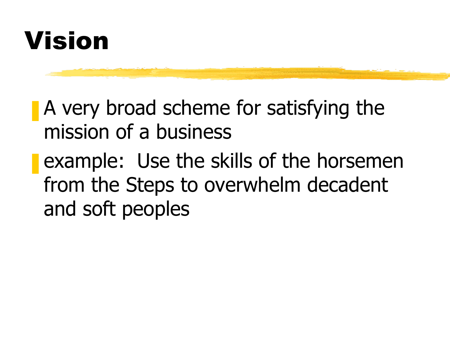## Vision

- **A** very broad scheme for satisfying the mission of a business
- **E** example: Use the skills of the horsemen from the Steps to overwhelm decadent and soft peoples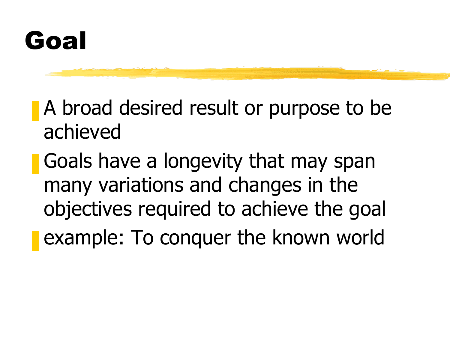## Goal

- A broad desired result or purpose to be achieved
- Goals have a longevity that may span many variations and changes in the objectives required to achieve the goal **E** example: To conquer the known world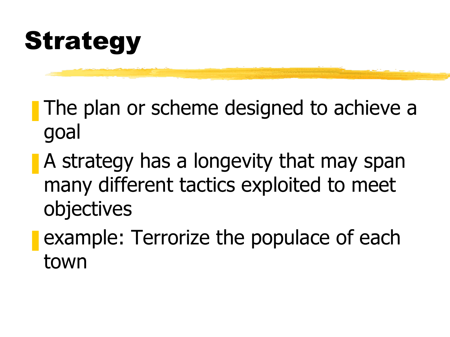## Strategy

- **The plan or scheme designed to achieve a** goal
- A strategy has a longevity that may span many different tactics exploited to meet objectives
- **E** example: Terrorize the populace of each town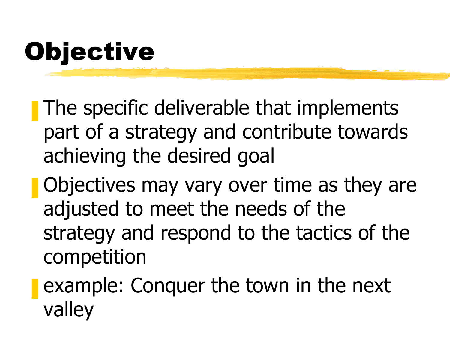## Objective

■ The specific deliverable that implements part of a strategy and contribute towards achieving the desired goal

- **Objectives may vary over time as they are** adjusted to meet the needs of the strategy and respond to the tactics of the competition
- example: Conquer the town in the next valley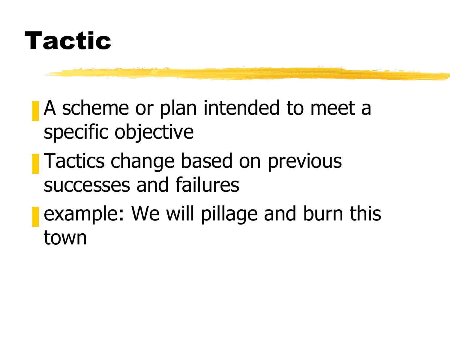

- A scheme or plan intended to meet a specific objective
- Tactics change based on previous successes and failures
- **E** example: We will pillage and burn this town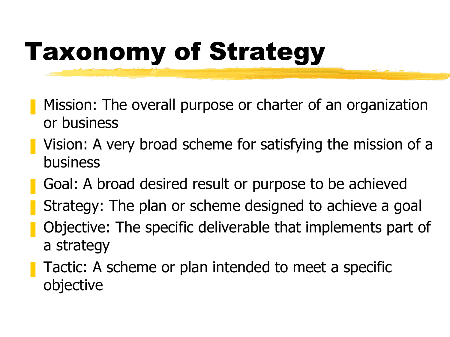# Taxonomy of Strategy

- Mission: The overall purpose or charter of an organization or business
- Vision: A very broad scheme for satisfying the mission of a business
- Goal: A broad desired result or purpose to be achieved
- Strategy: The plan or scheme designed to achieve a goal
- ❚ Objective: The specific deliverable that implements part of a strategy
- Tactic: A scheme or plan intended to meet a specific objective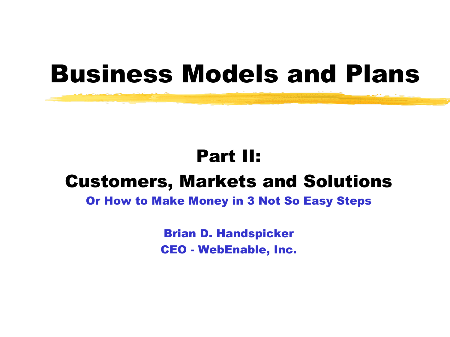## Business Models and Plans

#### Part II:

#### Customers, Markets and Solutions

#### Or How to Make Money in 3 Not So Easy Steps

Brian D. Handspicker CEO - WebEnable, Inc.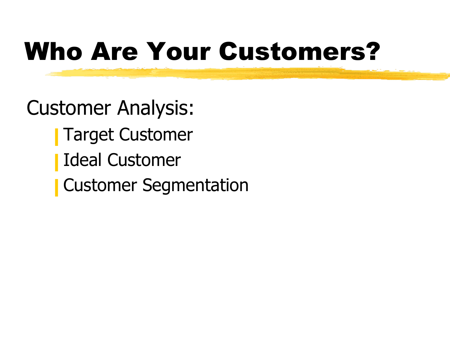# Who Are Your Customers?

Customer Analysis:

- **Target Customer**
- ❙ Ideal Customer
- **Customer Segmentation**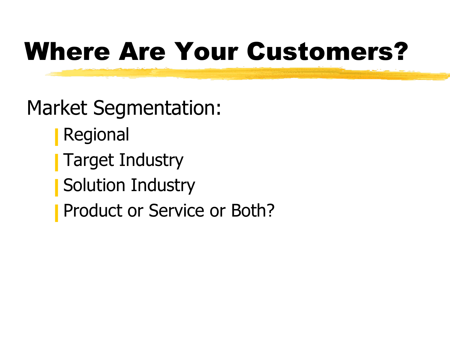## Where Are Your Customers?

Market Segmentation:

- **Regional**
- **Target Industry**
- Solution Industry
- Product or Service or Both?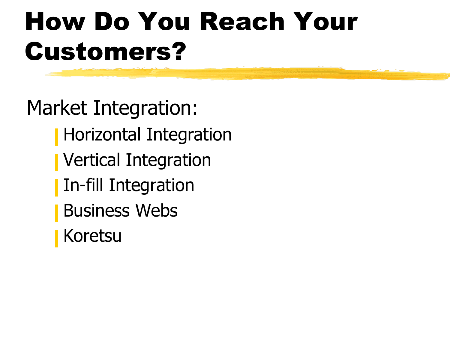# How Do You Reach Your Customers?

Market Integration:

- Horizontal Integration
- **Vertical Integration**
- **In-fill Integration**
- **Business Webs**
- **Koretsu**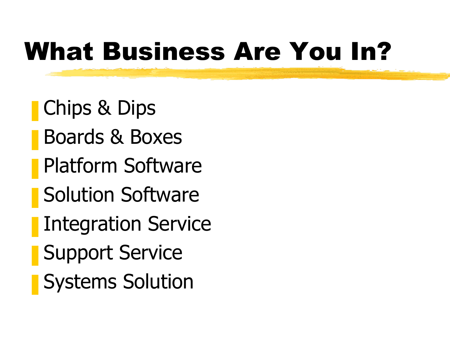## What Business Are You In?

- Chips & Dips
- ❚ Boards & Boxes
- Platform Software
- Solution Software
- **Integration Service**
- Support Service
- **Systems Solution**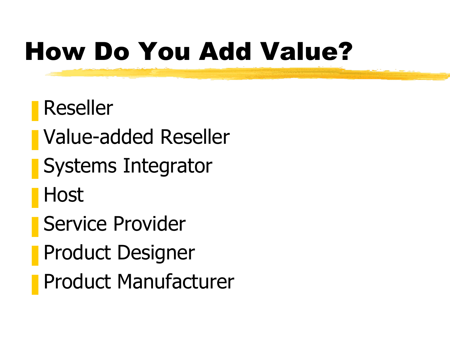# How Do You Add Value?

- **Reseller**
- ❚ Value-added Reseller
- Systems Integrator
- **Host**
- Service Provider
- **Product Designer**
- ❚ Product Manufacturer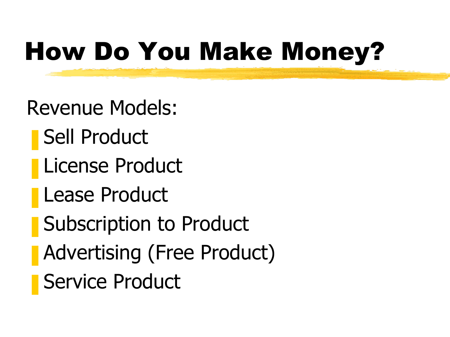## How Do You Make Money?

Revenue Models:

- Sell Product
- ❚ License Product
- ❚ Lease Product
- **Subscription to Product**
- Advertising (Free Product)
- Service Product